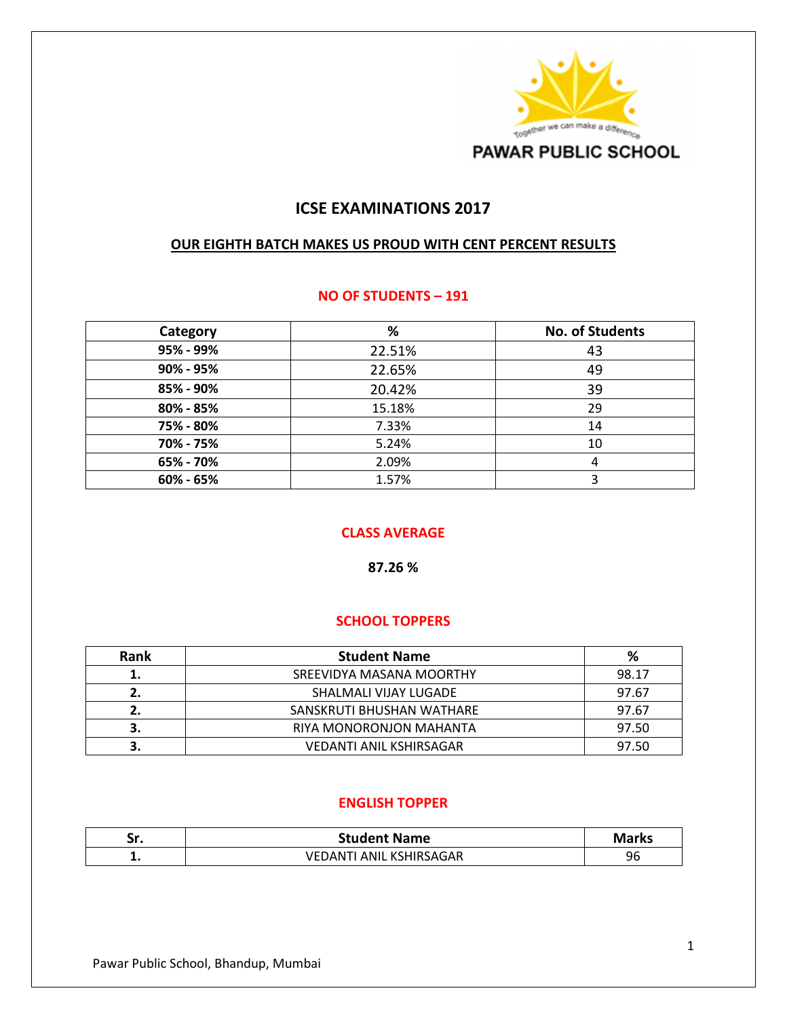

# **ICSE EXAMINATIONS 2017**

#### **OUR EIGHTH BATCH MAKES US PROUD WITH CENT PERCENT RESULTS**

#### **NO OF STUDENTS – 191**

| Category  | %      | <b>No. of Students</b> |
|-----------|--------|------------------------|
| 95% - 99% | 22.51% | 43                     |
| 90% - 95% | 22.65% | 49                     |
| 85% - 90% | 20.42% | 39                     |
| 80% - 85% | 15.18% | 29                     |
| 75% - 80% | 7.33%  | 14                     |
| 70% - 75% | 5.24%  | 10                     |
| 65% - 70% | 2.09%  | 4                      |
| 60% - 65% | 1.57%  | 3                      |

## **CLASS AVERAGE**

**87.26 %** 

### **SCHOOL TOPPERS**

| <b>Rank</b> | <b>Student Name</b>            | %     |
|-------------|--------------------------------|-------|
| 1.          | SREEVIDYA MASANA MOORTHY       | 98.17 |
|             | SHALMALI VIJAY LUGADE          | 97.67 |
|             | SANSKRUTI BHUSHAN WATHARE      | 97.67 |
|             | RIYA MONORONJON MAHANTA        | 97.50 |
|             | <b>VEDANTI ANIL KSHIRSAGAR</b> | 97.50 |

### **ENGLISH TOPPER**

| ٠.<br>JI. | <b>Student Name</b>                | Mark <sub>1</sub><br>al V2 |
|-----------|------------------------------------|----------------------------|
| . .       | ITI ANIL KSHIRSAGAR<br>VFL<br>`NAC | 96                         |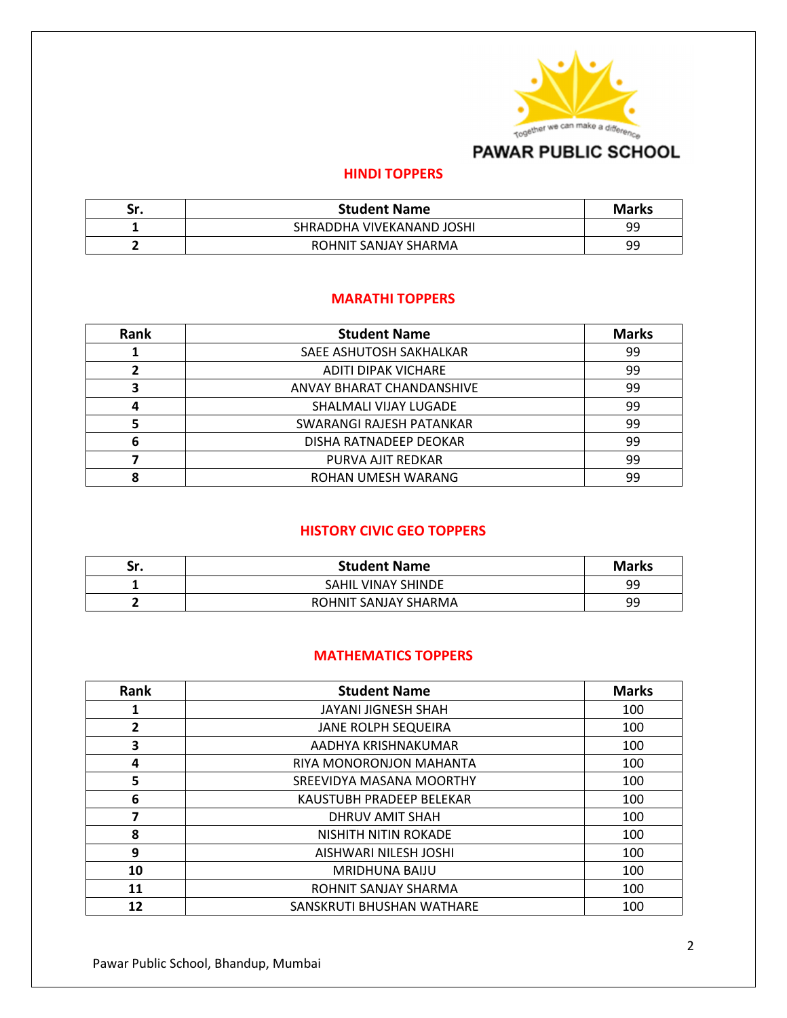

# **PAWAR PUBLIC SCHOOL**

### **HINDI TOPPERS**

| Sr. | <b>Student Name</b>       | <b>Marks</b> |
|-----|---------------------------|--------------|
|     | SHRADDHA VIVEKANAND JOSHI | ٩q           |
|     | ROHNIT SANJAY SHARMA      | 99           |

## **MARATHI TOPPERS**

| Rank | <b>Student Name</b>        | <b>Marks</b> |
|------|----------------------------|--------------|
|      | SAEE ASHUTOSH SAKHALKAR    | 99           |
|      | <b>ADITI DIPAK VICHARE</b> | 99           |
| 3    | ANVAY BHARAT CHANDANSHIVE  | 99           |
|      | SHALMALI VIJAY LUGADE      | 99           |
|      | SWARANGI RAJESH PATANKAR   | 99           |
| 6    | DISHA RATNADEEP DEOKAR     | 99           |
|      | PURVA AJIT REDKAR          | 99           |
|      | ROHAN UMESH WARANG         | 99           |

# **HISTORY CIVIC GEO TOPPERS**

| Sr. | <b>Student Name</b>  | <b>Marks</b> |
|-----|----------------------|--------------|
|     | SAHIL VINAY SHINDE   | 99           |
|     | ROHNIT SANJAY SHARMA | 99           |

### **MATHEMATICS TOPPERS**

| Rank | <b>Student Name</b>        | <b>Marks</b> |
|------|----------------------------|--------------|
|      | JAYANI JIGNESH SHAH        | 100          |
| 2    | <b>JANE ROLPH SEQUEIRA</b> | 100          |
| 3    | AADHYA KRISHNAKUMAR        | 100          |
| 4    | RIYA MONORONJON MAHANTA    | 100          |
| 5    | SREEVIDYA MASANA MOORTHY   | 100          |
| 6    | KAUSTUBH PRADEEP BELEKAR   | 100          |
| 7    | DHRUV AMIT SHAH            | 100          |
| 8    | NISHITH NITIN ROKADE       | 100          |
| 9    | AISHWARI NILESH JOSHI      | 100          |
| 10   | <b>MRIDHUNA BAIJU</b>      | 100          |
| 11   | ROHNIT SANJAY SHARMA       | 100          |
| 12   | SANSKRUTI BHUSHAN WATHARE  | 100          |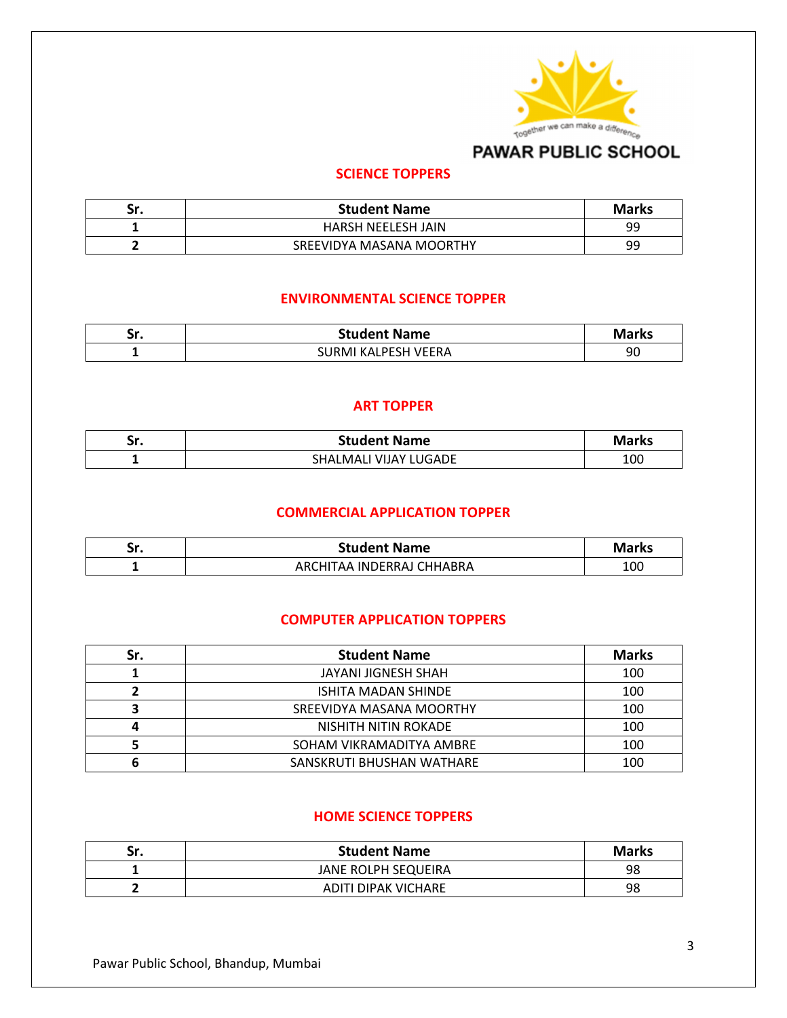

# **PAWAR PUBLIC SCHOOL**

## **SCIENCE TOPPERS**

| Sr. | <b>Student Name</b>       | <b>Marks</b> |
|-----|---------------------------|--------------|
|     | <b>HARSH NEELESH JAIN</b> | 99           |
|     | SREEVIDYA MASANA MOORTHY  | 99           |

### **ENVIRONMENTAL SCIENCE TOPPER**

| JI. | <b>Student Name</b> | Marks |
|-----|---------------------|-------|
|     | SURMI KALPESH VEERA | 90    |

### **ART TOPPER**

| Sr. | <b>Student Name</b>          | <b>Marks</b> |
|-----|------------------------------|--------------|
|     | I VIJAY LUGADE.<br>SHALMALI' | 100          |

## **COMMERCIAL APPLICATION TOPPER**

| - 60<br>JI. | <b>Student Name</b>       | <b>Marks</b> |
|-------------|---------------------------|--------------|
|             | ARCHITAA INDERRAJ CHHABRA | 100          |

### **COMPUTER APPLICATION TOPPERS**

| Sr. | <b>Student Name</b>       | <b>Marks</b> |
|-----|---------------------------|--------------|
|     | JAYANI JIGNESH SHAH       | 100          |
|     | ISHITA MADAN SHINDE       | 100          |
|     | SREEVIDYA MASANA MOORTHY  | 100          |
|     | NISHITH NITIN ROKADE      | 100          |
|     | SOHAM VIKRAMADITYA AMBRE  | 100          |
|     | SANSKRUTI BHUSHAN WATHARE | 100          |

### **HOME SCIENCE TOPPERS**

| Sr. | <b>Student Name</b> | <b>Marks</b> |
|-----|---------------------|--------------|
|     | JANE ROLPH SEQUEIRA | 98           |
|     | ADITI DIPAK VICHARE | 98           |